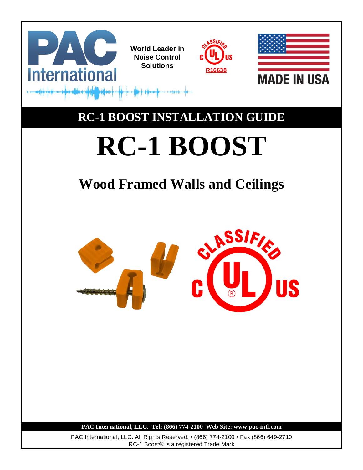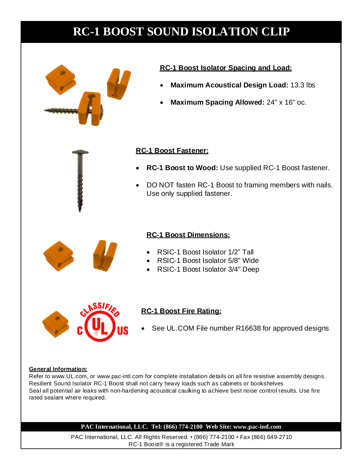

## **RC-1 Boost Isolator Spacing and Load:**

- **Maximum Acoustical Design Load:** 13.3 lbs
- **Maximum Spacing Allowed:** 24" x 16" oc.

## **RC-1 Boost Fastener:**

- **RC-1 Boost to Wood:** Use supplied RC-1 Boost fastener.
- DO NOT fasten RC-1 Boost to framing members with nails. Use only supplied fastener.

# **RC-1 Boost Dimensions:**

- RSIC-1 Boost Isolator 1/2" Tall
- RSIC-1 Boost Isolator 5/8" Wide
- RSIC-1 Boost Isolator 3/4" Deep



# **RC-1 Boost Fire Rating:**

See UL.COM File number R16638 for approved designs

## **General Information:**

Refer to www.UL.com, or www.pac-intl.com for complete installation details on all fire resistive assembly designs. Resilient Sound Isolator RC-1 Boost shall not carry heavy loads such as cabinets or bookshelves Seal all potential air leaks with non-hardening acoustical caulking to achieve best noise control results. Use fire rated sealant where required.

## **PAC International, LLC. Tel: (866) 774-2100 Web Site: www.pac-intl.com**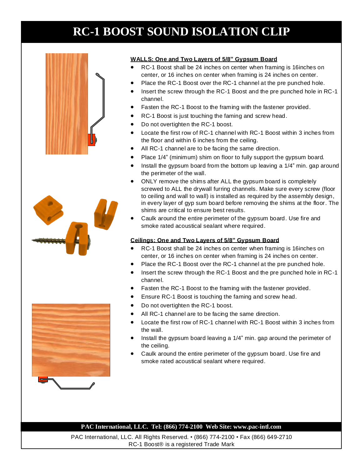



## **WALLS: One and Two Layers of 5/8" Gypsum Board**

- RC-1 Boost shall be 24 inches on center when framing is 16inches on center, or 16 inches on center when framing is 24 inches on center.
- Place the RC-1 Boost over the RC-1 channel at the pre punched hole.
- Insert the screw through the RC-1 Boost and the pre punched hole in RC-1 channel.
- Fasten the RC-1 Boost to the framing with the fastener provided.
- RC-1 Boost is just touching the faming and screw head.
- Do not overtighten the RC-1 boost.
- Locate the first row of RC-1 channel with RC-1 Boost within 3 inches from the floor and within 6 inches from the ceiling.
- All RC-1 channel are to be facing the same direction.
- Place 1/4" (minimum) shim on floor to fully support the gypsum board.
- Install the gypsum board from the bottom up leaving a 1/4" min. gap around the perimeter of the wall.
- ONLY remove the shims after ALL the gypsum board is completely screwed to ALL the drywall furring channels. Make sure every screw (floor to ceiling and wall to wall) is installed as required by the assembly design, in every layer of gyp sum board before removing the shims at the floor. The shims are critical to ensure best results.
- Caulk around the entire perimeter of the gypsum board. Use fire and smoke rated acoustical sealant where required.

### **Ceilings: One and Two Layers of 5/8" Gypsum Board**

- RC-1 Boost shall be 24 inches on center when framing is 16inches on center, or 16 inches on center when framing is 24 inches on center.
- Place the RC-1 Boost over the RC-1 channel at the pre punched hole.
- Insert the screw through the RC-1 Boost and the pre punched hole in RC-1 channel.
- Fasten the RC-1 Boost to the framing with the fastener provided.
- Ensure RC-1 Boost is touching the faming and screw head.
- Do not overtighten the RC-1 boost.
- All RC-1 channel are to be facing the same direction.
- Locate the first row of RC-1 channel with RC-1 Boost within 3 inches from the wall.
- Install the gypsum board leaving a 1/4" min. gap around the perimeter of the ceiling.
- Caulk around the entire perimeter of the gypsum board. Use fire and smoke rated acoustical sealant where required.

### **PAC International, LLC. Tel: (866) 774-2100 Web Site: www.pac-intl.com**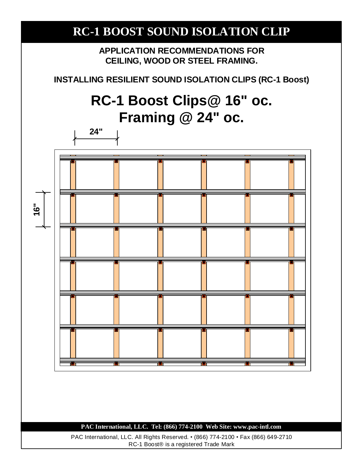**APPLICATION RECOMMENDATIONS FOR CEILING, WOOD OR STEEL FRAMING.**

**INSTALLING RESILIENT SOUND ISOLATION CLIPS (RC-1 Boost)**

# **RC-1 Boost Clips@ 16" oc. Framing @ 24" oc.**

**24"**



## **PAC International, LLC. Tel: (866) 774-2100 Web Site: www.pac-intl.com**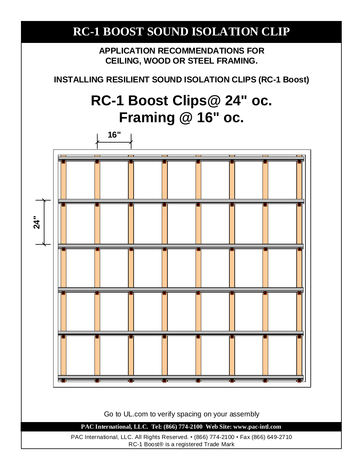# **RC-1 BOOST SOUND ISOLATION CLIP APPLICATION RECOMMENDATIONS FOR CEILING, WOOD OR STEEL FRAMING. INSTALLING RESILIENT SOUND ISOLATION CLIPS (RC-1 Boost) RC-1 Boost Clips@ 24" oc. Framing @ 16" oc. PAC International, LLC. Tel: (866) 774-2100 Web Site: www.pac-intl.com 24" 16"** PAC International, LLC. All Rights Reserved. • (866) 774-2100 • Fax (866) 649-2710 RC-1 Boost® is a registered Trade Mark Go to UL.com to verify spacing on your assembly